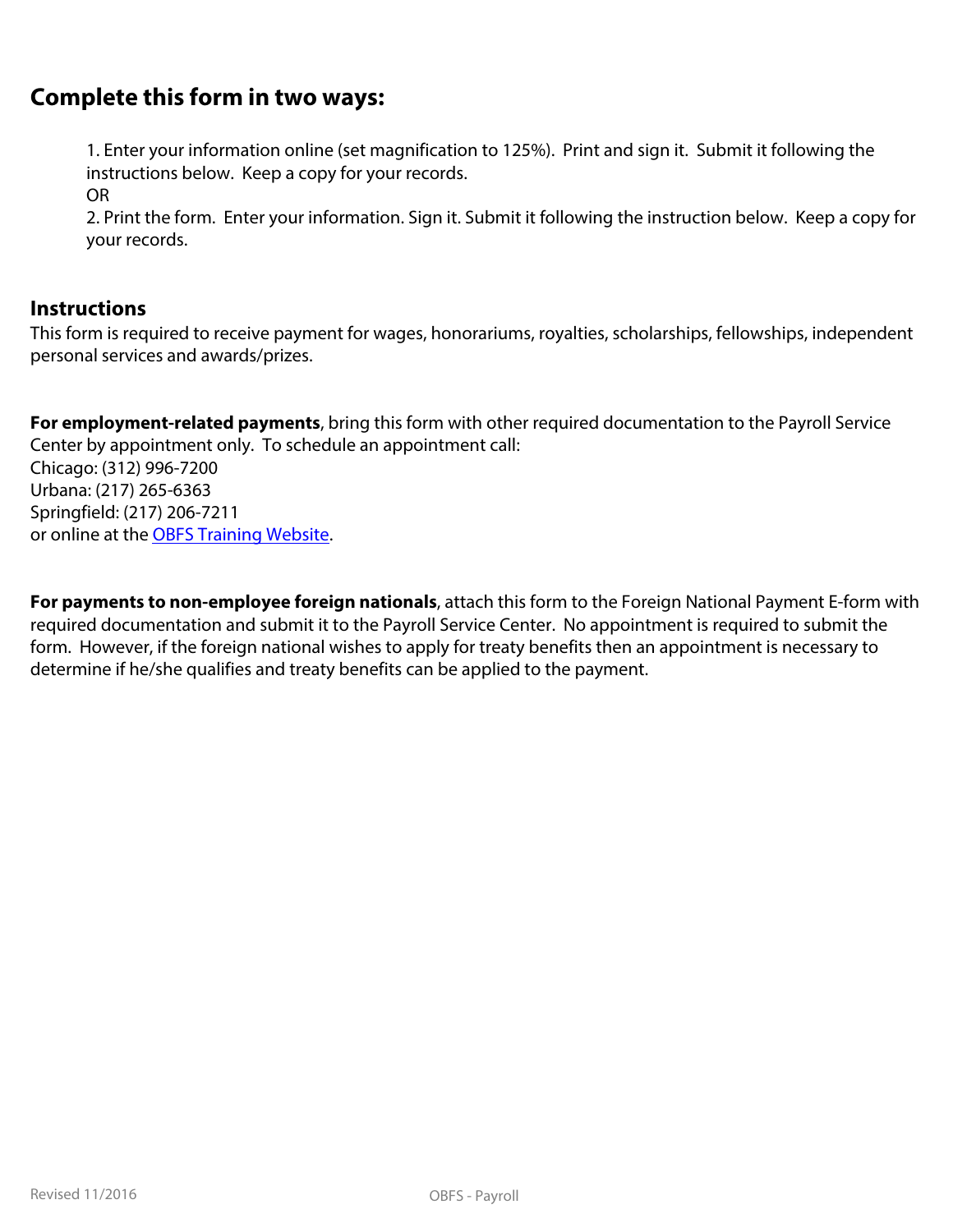# **Complete this form in two ways:**

1. Enter your information online (set magnification to 125%). Print and sign it. Submit it following the instructions below. Keep a copy for your records.

OR

2. Print the form. Enter your information. Sign it. Submit it following the instruction below. Keep a copy for your records.

## **Instructions**

This form is required to receive payment for wages, honorariums, royalties, scholarships, fellowships, independent personal services and awards/prizes.

**For employment-related payments**, bring this form with other required documentation to the Payroll Service Center by appointment only. To schedule an appointment call:

Chicago: (312) 996-7200 Urbana: (217) 265-6363 Springfield: (217) 206-7211 or online at the [OBFS Training Website.](http://training.obfs.uillinois.edu/index.cfm?campus=F)

**For payments to non-employee foreign nationals**, attach this form to the Foreign National Payment E-form with required documentation and submit it to the Payroll Service Center. No appointment is required to submit the form. However, if the foreign national wishes to apply for treaty benefits then an appointment is necessary to determine if he/she qualifies and treaty benefits can be applied to the payment.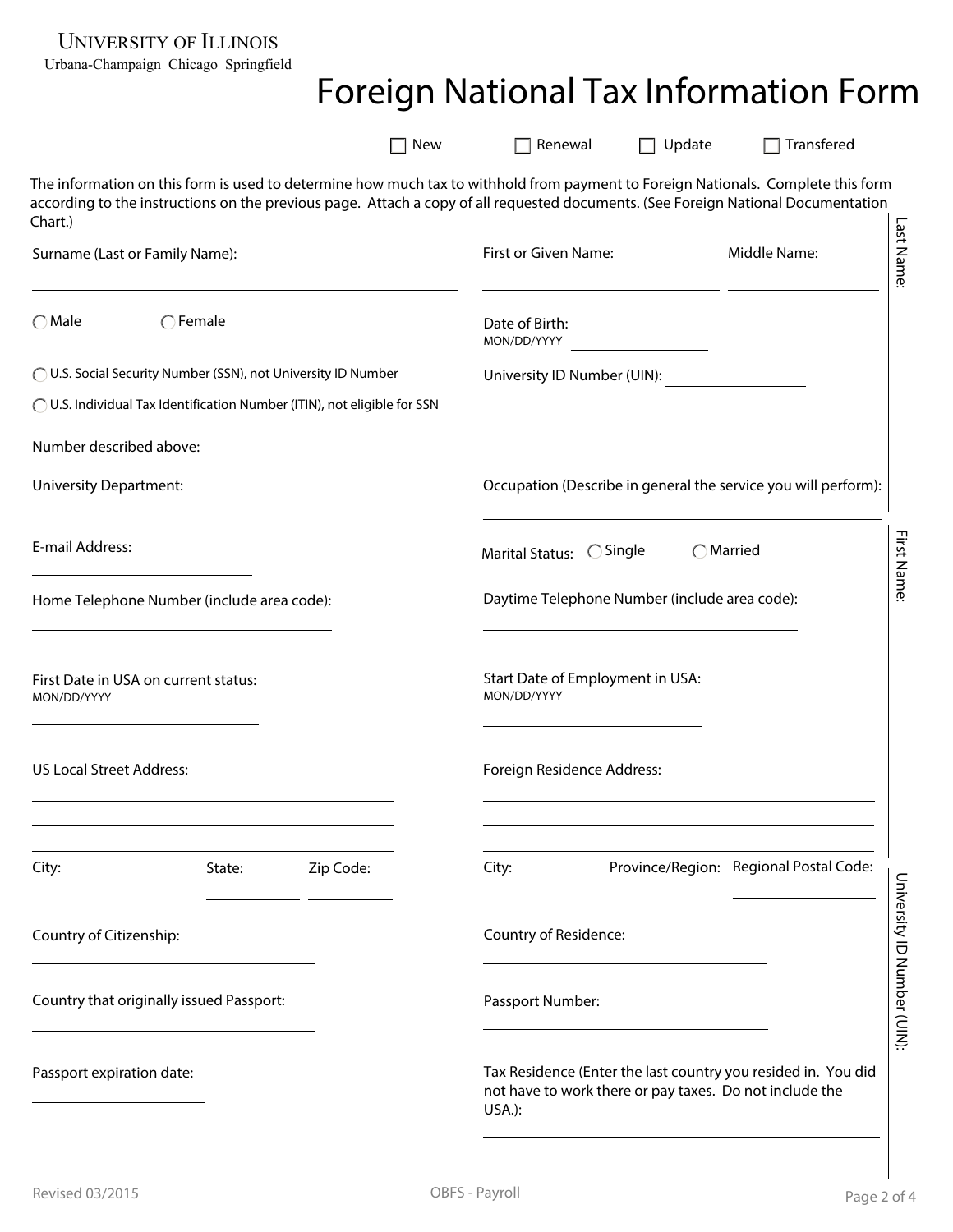UNIVERSITY OF ILLINOIS

Urbana-Champaign Chicago Springfield

# Foreign National Tax Information Form

|                                                                                                                                                                                                                                                                                  | New                           | Renewal                                       | Transfered<br>Update                                                                                                     |
|----------------------------------------------------------------------------------------------------------------------------------------------------------------------------------------------------------------------------------------------------------------------------------|-------------------------------|-----------------------------------------------|--------------------------------------------------------------------------------------------------------------------------|
| The information on this form is used to determine how much tax to withhold from payment to Foreign Nationals. Complete this form<br>according to the instructions on the previous page. Attach a copy of all requested documents. (See Foreign National Documentation<br>Chart.) |                               |                                               |                                                                                                                          |
| Surname (Last or Family Name):                                                                                                                                                                                                                                                   |                               | First or Given Name:                          | Last Name:<br>Middle Name:                                                                                               |
| $\bigcap$ Male<br>$\bigcap$ Female                                                                                                                                                                                                                                               | Date of Birth:<br>MON/DD/YYYY |                                               |                                                                                                                          |
| ◯ U.S. Social Security Number (SSN), not University ID Number                                                                                                                                                                                                                    |                               | University ID Number (UIN):                   |                                                                                                                          |
| ◯ U.S. Individual Tax Identification Number (ITIN), not eligible for SSN                                                                                                                                                                                                         |                               |                                               |                                                                                                                          |
| Number described above:                                                                                                                                                                                                                                                          |                               |                                               |                                                                                                                          |
| <b>University Department:</b>                                                                                                                                                                                                                                                    |                               |                                               | Occupation (Describe in general the service you will perform):                                                           |
| E-mail Address:                                                                                                                                                                                                                                                                  |                               | Marital Status: C Single                      | First Name:<br>$\bigcap$ Married                                                                                         |
| Home Telephone Number (include area code):                                                                                                                                                                                                                                       |                               | Daytime Telephone Number (include area code): |                                                                                                                          |
| First Date in USA on current status:<br>MON/DD/YYYY                                                                                                                                                                                                                              | MON/DD/YYYY                   | Start Date of Employment in USA:              |                                                                                                                          |
| <b>US Local Street Address:</b>                                                                                                                                                                                                                                                  |                               | Foreign Residence Address:                    |                                                                                                                          |
| Zip Code:<br>City:<br>State:                                                                                                                                                                                                                                                     | City:                         |                                               | Province/Region: Regional Postal Code:                                                                                   |
| Country of Citizenship:                                                                                                                                                                                                                                                          |                               | Country of Residence:                         | University ID                                                                                                            |
| Country that originally issued Passport:                                                                                                                                                                                                                                         |                               | Passport Number:                              | Number (UIN):                                                                                                            |
| Passport expiration date:                                                                                                                                                                                                                                                        | USA.):                        |                                               | Tax Residence (Enter the last country you resided in. You did<br>not have to work there or pay taxes. Do not include the |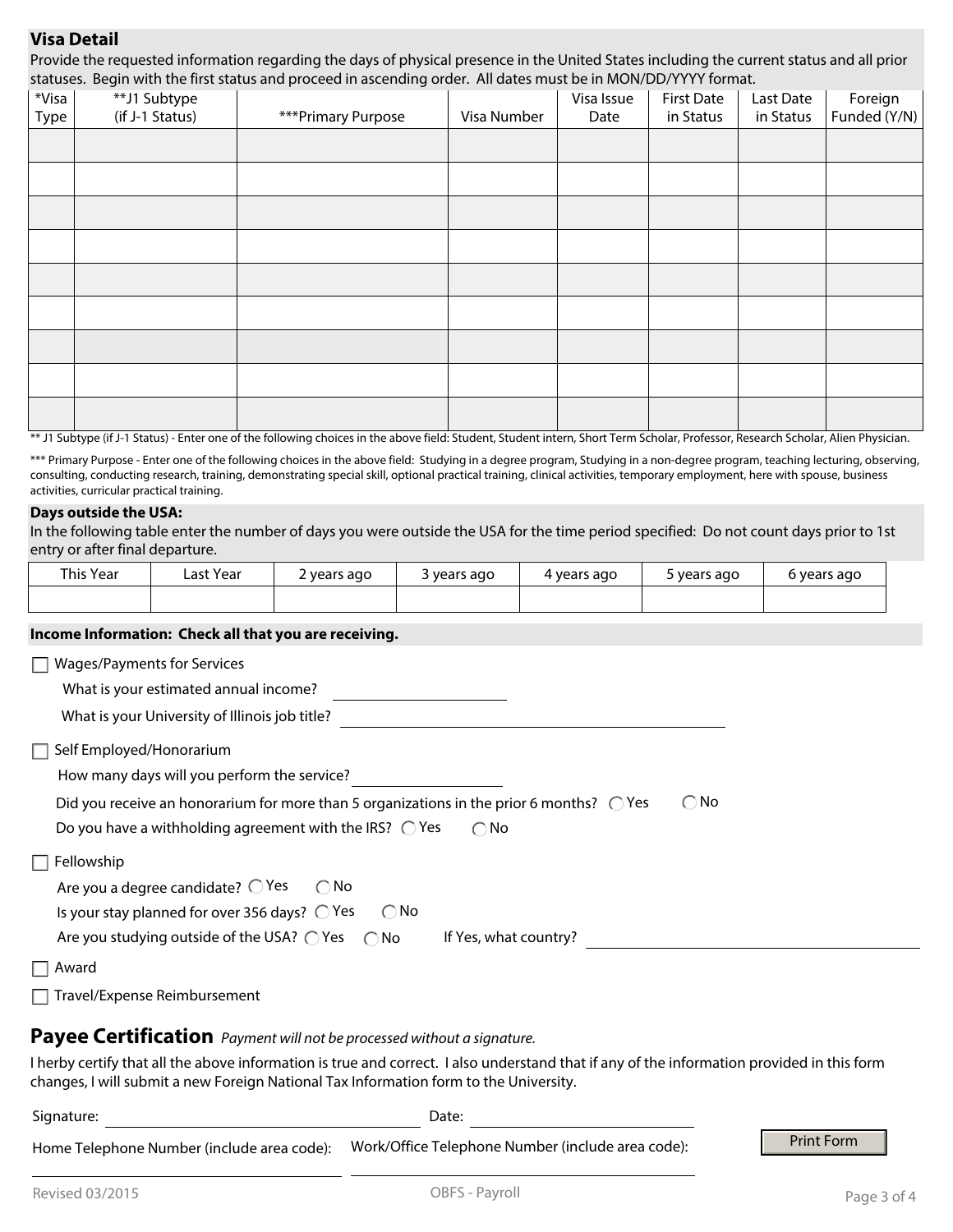### **Visa Detail**

Provide the requested information regarding the days of physical presence in the United States including the current status and all prior statuses. Begin with the first status and proceed in ascending order. All dates must be in MON/DD/YYYY format.

| *Visa<br>Type | ້<br>**J1 Subtype<br>(if J-1 Status) | <u>.</u><br>***Primary Purpose | Visa Number | Visa Issue<br>Date | <b>First Date</b><br>in Status | Last Date<br>in Status | Foreign<br>Funded (Y/N) |
|---------------|--------------------------------------|--------------------------------|-------------|--------------------|--------------------------------|------------------------|-------------------------|
|               |                                      |                                |             |                    |                                |                        |                         |
|               | $\blacktriangledown$                 |                                |             |                    |                                |                        |                         |
|               | $\overline{\phantom{a}}$             | $\blacktriangledown$           |             |                    |                                |                        |                         |
|               | $\overline{\phantom{0}}$             |                                |             |                    |                                |                        |                         |
|               | $\overline{\phantom{0}}$             | $\blacktriangledown$           |             |                    |                                |                        |                         |
|               | ▼                                    |                                |             |                    |                                |                        |                         |
|               | $\overline{\phantom{0}}$             | $\blacktriangledown$           |             |                    |                                |                        |                         |
|               | $\overline{\phantom{a}}$             | $\blacktriangledown$           |             |                    |                                |                        |                         |
|               | $\overline{\phantom{a}}$             | $\overline{\phantom{a}}$       |             |                    |                                |                        |                         |

\*\* J1 Subtype (if J-1 Status) - Enter one of the following choices in the above field: Student, Student intern, Short Term Scholar, Professor, Research Scholar, Alien Physician.

\*\*\* Primary Purpose - Enter one of the following choices in the above field: Studying in a degree program, Studying in a non-degree program, teaching lecturing, observing, consulting, conducting research, training, demonstrating special skill, optional practical training, clinical activities, temporary employment, here with spouse, business activities, curricular practical training.

#### **Days outside the USA:**

In the following table enter the number of days you were outside the USA for the time period specified: Do not count days prior to 1st entry or after final departure.

| This Year | Year<br>Last | vears ago | vears ago<br>- | 4 years ago | vears ago<br>یست | 6 vears ago |
|-----------|--------------|-----------|----------------|-------------|------------------|-------------|
|           |              |           |                |             |                  |             |

#### **Income Information: Check all that you are receiving.**

| Wages/Payments for Services                                                                                                                                                                            |
|--------------------------------------------------------------------------------------------------------------------------------------------------------------------------------------------------------|
| What is your estimated annual income?                                                                                                                                                                  |
| What is your University of Illinois job title?                                                                                                                                                         |
| Self Employed/Honorarium                                                                                                                                                                               |
| How many days will you perform the service?                                                                                                                                                            |
| $\bigcirc$ No<br>Did you receive an honorarium for more than 5 organizations in the prior 6 months? $\bigcirc$ Yes<br>Do you have a withholding agreement with the IRS? $\bigcirc$ Yes<br>$\bigcap$ No |
| Fellowship                                                                                                                                                                                             |
| Are you a degree candidate? $\bigcirc$ Yes<br>$\bigcap$ No                                                                                                                                             |
| Is your stay planned for over 356 days? $\bigcirc$ Yes<br>$\bigcirc$ No                                                                                                                                |
| Are you studying outside of the USA? $\bigcirc$ Yes $\bigcirc$ No<br>If Yes, what country?                                                                                                             |
| Award                                                                                                                                                                                                  |
| Travel/Expense Reimbursement                                                                                                                                                                           |
| Payee Certification Payment will not be processed without a signature.                                                                                                                                 |
| I horby cortify that all the above information is true and correct. Lake understand that if any of the information provided in this form                                                               |

I herby certify that all the above information is true and correct. I also understand that if any of the information provided in this form changes, I will submit a new Foreign National Tax Information form to the University.

| Signature: | Date:                                                                                        |                   |
|------------|----------------------------------------------------------------------------------------------|-------------------|
|            | Home Telephone Number (include area code): Work/Office Telephone Number (include area code): | <b>Print Form</b> |